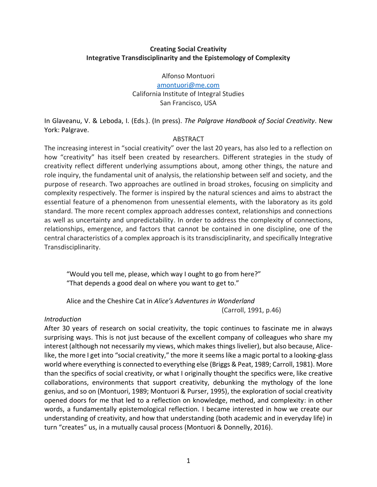# **Creating Social Creativity Integrative Transdisciplinarity and the Epistemology of Complexity**

Alfonso Montuori [amontuori@me.com](mailto:amontuori@me.com) California Institute of Integral Studies San Francisco, USA

In Glaveanu, V. & Leboda, I. (Eds.). (In press). *The Palgrave Handbook of Social Creativity*. New York: Palgrave.

#### ABSTRACT

The increasing interest in "social creativity" over the last 20 years, has also led to a reflection on how "creativity" has itself been created by researchers. Different strategies in the study of creativity reflect different underlying assumptions about, among other things, the nature and role inquiry, the fundamental unit of analysis, the relationship between self and society, and the purpose of research. Two approaches are outlined in broad strokes, focusing on simplicity and complexity respectively. The former is inspired by the natural sciences and aims to abstract the essential feature of a phenomenon from unessential elements, with the laboratory as its gold standard. The more recent complex approach addresses context, relationships and connections as well as uncertainty and unpredictability. In order to address the complexity of connections, relationships, emergence, and factors that cannot be contained in one discipline, one of the central characteristics of a complex approach is its transdisciplinarity, and specifically Integrative Transdisciplinarity.

"Would you tell me, please, which way I ought to go from here?" "That depends a good deal on where you want to get to."

Alice and the Cheshire Cat in *Alice's Adventures in Wonderland* (Carroll, 1991, p.46)

## *Introduction*

After 30 years of research on social creativity, the topic continues to fascinate me in always surprising ways. This is not just because of the excellent company of colleagues who share my interest (although not necessarily my views, which makes things livelier), but also because, Alicelike, the more I get into "social creativity," the more it seems like a magic portal to a looking-glass world where everything is connected to everything else (Briggs & Peat, 1989; Carroll, 1981). More than the specifics of social creativity, or what I originally thought the specifics were, like creative collaborations, environments that support creativity, debunking the mythology of the lone genius, and so on (Montuori, 1989; Montuori & Purser, 1995), the exploration of social creativity opened doors for me that led to a reflection on knowledge, method, and complexity: in other words, a fundamentally epistemological reflection. I became interested in how we create our understanding of creativity, and how that understanding (both academic and in everyday life) in turn "creates" us, in a mutually causal process (Montuori & Donnelly, 2016).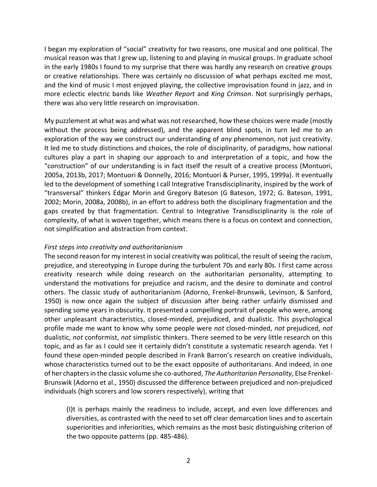I began my exploration of "social" creativity for two reasons, one musical and one political. The musical reason was that I grew up, listening to and playing in musical groups. In graduate school in the early 1980s I found to my surprise that there was hardly any research on creative groups or creative relationships. There was certainly no discussion of what perhaps excited me most, and the kind of music I most enjoyed playing, the collective improvisation found in jazz, and in more eclectic electric bands like *Weather Report* and *King Crimson*. Not surprisingly perhaps, there was also very little research on improvisation.

My puzzlement at what was and what was not researched, how these choices were made (mostly without the process being addressed), and the apparent blind spots, in turn led me to an exploration of the way we construct our understanding of *any* phenomenon, not just creativity. It led me to study distinctions and choices, the role of disciplinarity, of paradigms, how national cultures play a part in shaping our approach to and interpretation of a topic, and how the "construction" of our understanding is in fact itself the result of a creative process (Montuori, 2005a, 2013b, 2017; Montuori & Donnelly, 2016; Montuori & Purser, 1995, 1999a). It eventually led to the development of something I call Integrative Transdisciplinarity, inspired by the work of "transversal" thinkers Edgar Morin and Gregory Bateson (G Bateson, 1972; G. Bateson, 1991, 2002; Morin, 2008a, 2008b), in an effort to address both the disciplinary fragmentation and the gaps created by that fragmentation. Central to Integrative Transdisciplinarity is the role of complexity, of what is woven together, which means there is a focus on context and connection, not simplification and abstraction from context.

## *First steps into creativity and authoritarianism*

The second reason for my interest in social creativity was political, the result of seeing the racism, prejudice, and stereotyping in Europe during the turbulent 70s and early 80s. I first came across creativity research while doing research on the authoritarian personality, attempting to understand the motivations for prejudice and racism, and the desire to dominate and control others. The classic study of authoritarianism (Adornо, Frenkel-Brunswik, Levinson, & Sanford, 1950) is now once again the subject of discussion after being rather unfairly dismissed and spending some years in obscurity. It presented a compelling portrait of people who were, among other unpleasant characteristics, closed-minded, prejudiced, and dualistic. This psychological profile made me want to know why some people were *not* closed-minded, *not* prejudiced, *not* dualistic, *not* conformist, *not* simplistic thinkers. There seemed to be very little research on this topic, and as far as I could see it certainly didn't constitute a systematic research agenda. Yet I found these open-minded people described in Frank Barron's research on creative individuals, whose characteristics turned out to be the exact opposite of authoritarians. And indeed, in one of her chapters in the classic volume she co-authored, *The Authoritarian Personality*, Else Frenkel-Brunswik (Adornо et al., 1950) discussed the difference between prejudiced and non-prejudiced individuals (high scorers and low scorers respectively), writing that

(I)t is perhaps mainly the readiness to include, accept, and even love differences and diversities, as contrasted with the need to set off clear demarcation lines and to ascertain superiorities and inferiorities, which remains as the most basic distinguishing criterion of the two opposite patterns (pp. 485-486).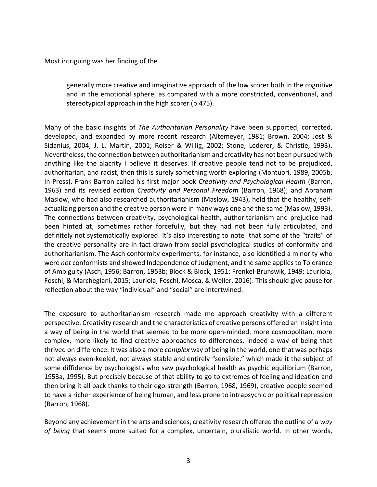Most intriguing was her finding of the

generally more creative and imaginative approach of the low scorer both in the cognitive and in the emotional sphere, as compared with a more constricted, conventional, and stereotypical approach in the high scorer (p.475).

Many of the basic insights of *The Authoritarian Personality* have been supported, corrected, developed, and expanded by more recent research (Altemeyer, 1981; Brown, 2004; Jost & Sidanius, 2004; J. L. Martin, 2001; Roiser & Willig, 2002; Stone, Lederer, & Christie, 1993). Nevertheless, the connection between authoritarianism and creativity has not been pursued with anything like the alacrity I believe it deserves. If creative people tend not to be prejudiced, authoritarian, and racist, then this is surely something worth exploring (Montuori, 1989, 2005b, In Press). Frank Barron called his first major book *Creativity and Psychological Health* (Barron, 1963) and its revised edition *Creativity and Personal Freedom* (Barron, 1968), and Abraham Maslow, who had also researched authoritarianism (Maslow, 1943), held that the healthy, selfactualizing person and the creative person were in many ways one and the same (Maslow, 1993). The connections between creativity, psychological health, authoritarianism and prejudice had been hinted at, sometimes rather forcefully, but they had not been fully articulated, and definitely not systematically explored. It's also interesting to note that some of the "traits" of the creative personality are in fact drawn from social psychological studies of conformity and authoritarianism. The Asch conformity experiments, for instance, also identified a minority who were *not* conformists and showed Independence of Judgment, and the same applies to Tolerance of Ambiguity (Asch, 1956; Barron, 1953b; Block & Block, 1951; Frenkel‐Brunswik, 1949; Lauriola, Foschi, & Marchegiani, 2015; Lauriola, Foschi, Mosca, & Weller, 2016). This should give pause for reflection about the way "individual" and "social" are intertwined.

The exposure to authoritarianism research made me approach creativity with a different perspective. Creativity research and the characteristics of creative persons offered an insight into a way of being in the world that seemed to be more open-minded, more cosmopolitan, more complex, more likely to find creative approaches to differences, indeed a way of being that thrived on difference. It was also a more *complex* way of being in the world, one that was perhaps not always even-keeled, not always stable and entirely "sensible," which made it the subject of some diffidence by psychologists who saw psychological health as psychic equilibrium (Barron, 1953a, 1995). But precisely because of that ability to go to extremes of feeling and ideation and then bring it all back thanks to their ego-strength (Barron, 1968, 1969), creative people seemed to have a richer experience of being human, and less prone to intrapsychic or political repression (Barron, 1968).

Beyond any achievement in the arts and sciences, creativity research offered the outline of *a way of being* that seems more suited for a complex, uncertain, pluralistic world. In other words,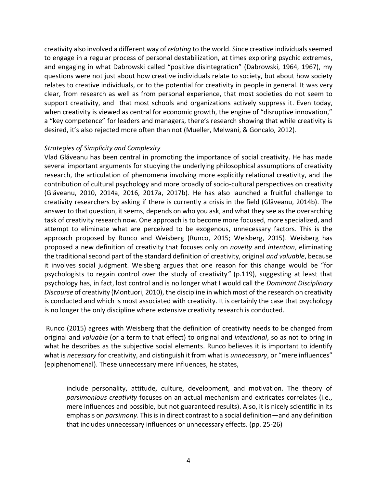creativity also involved a different way of *relating* to the world. Since creative individuals seemed to engage in a regular process of personal destabilization, at times exploring psychic extremes, and engaging in what Dabrowski called "positive disintegration" (Dabrowski, 1964, 1967), my questions were not just about how creative individuals relate to society, but about how society relates to creative individuals, or to the potential for creativity in people in general. It was very clear, from research as well as from personal experience, that most societies do not seem to support creativity, and that most schools and organizations actively suppress it. Even today, when creativity is viewed as central for economic growth, the engine of "disruptive innovation," a "key competence" for leaders and managers, there's research showing that while creativity is desired, it's also rejected more often than not (Mueller, Melwani, & Goncalo, 2012).

## *Strategies of Simplicity and Complexity*

Vlad Glăveanu has been central in promoting the importance of social creativity. He has made several important arguments for studying the underlying philosophical assumptions of creativity research, the articulation of phenomena involving more explicitly relational creativity, and the contribution of cultural psychology and more broadly of socio-cultural perspectives on creativity (Glăveanu, 2010, 2014a, 2016, 2017a, 2017b). He has also launched a fruitful challenge to creativity researchers by asking if there is currently a crisis in the field (Glăveanu, 2014b). The answer to that question, it seems, depends on who you ask, and what they see as the overarching task of creativity research now. One approach is to become more focused, more specialized, and attempt to eliminate what are perceived to be exogenous, unnecessary factors. This is the approach proposed by Runco and Weisberg (Runco, 2015; Weisberg, 2015). Weisberg has proposed a new definition of creativity that focuses only on *novelty* and *intention*, eliminating the traditional second part of the standard definition of creativity, original *and valuable*, because it involves social judgment. Weisberg argues that one reason for this change would be "for psychologists to regain control over the study of creativity*"* (p.119), suggesting at least that psychology has, in fact, lost control and is no longer what I would call the *Dominant Disciplinary Discourse* of creativity (Montuori, 2010), the discipline in which most of the research on creativity is conducted and which is most associated with creativity. It is certainly the case that psychology is no longer the only discipline where extensive creativity research is conducted.

Runco (2015) agrees with Weisberg that the definition of creativity needs to be changed from original and *valuable* (or a term to that effect) to original and *intentional*, so as not to bring in what he describes as the subjective social elements. Runco believes it is important to identify what is *necessary* for creativity, and distinguish it from what is *unnecessary*, or "mere influences" (epiphenomenal). These unnecessary mere influences, he states,

include personality, attitude, culture, development, and motivation. The theory of *parsimonious creativity* focuses on an actual mechanism and extricates correlates (i.e., mere influences and possible, but not guaranteed results). Also, it is nicely scientific in its emphasis on *parsimony*. This is in direct contrast to a social definition—and any definition that includes unnecessary influences or unnecessary effects. (pp. 25-26)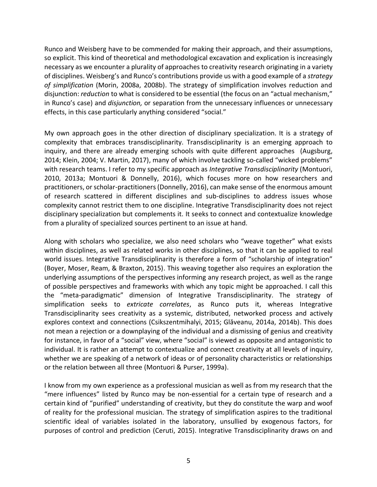Runco and Weisberg have to be commended for making their approach, and their assumptions, so explicit. This kind of theoretical and methodological excavation and explication is increasingly necessary as we encounter a plurality of approaches to creativity research originating in a variety of disciplines. Weisberg's and Runco's contributions provide us with a good example of a *strategy of simplification* (Morin, 2008a, 2008b). The strategy of simplification involves reduction and disjunction: *reduction* to what is considered to be essential (the focus on an "actual mechanism," in Runco's case) and *disjunction,* or separation from the unnecessary influences or unnecessary effects, in this case particularly anything considered "social."

My own approach goes in the other direction of disciplinary specialization. It is a strategy of complexity that embraces transdisciplinarity. Transdisciplinarity is an emerging approach to inquiry, and there are already emerging schools with quite different approaches (Augsburg, 2014; Klein, 2004; V. Martin, 2017), many of which involve tackling so-called "wicked problems" with research teams. I refer to my specific approach as *Integrative Transdisciplinarity* (Montuori, 2010, 2013a; Montuori & Donnelly, 2016), which focuses more on how researchers and practitioners, or scholar-practitioners (Donnelly, 2016), can make sense of the enormous amount of research scattered in different disciplines and sub-disciplines to address issues whose complexity cannot restrict them to one discipline. Integrative Transdisciplinarity does not reject disciplinary specialization but complements it. It seeks to connect and contextualize knowledge from a plurality of specialized sources pertinent to an issue at hand.

Along with scholars who specialize, we also need scholars who "weave together" what exists within disciplines, as well as related works in other disciplines, so that it can be applied to real world issues. Integrative Transdisciplinarity is therefore a form of "scholarship of integration" (Boyer, Moser, Ream, & Braxton, 2015). This weaving together also requires an exploration the underlying assumptions of the perspectives informing any research project, as well as the range of possible perspectives and frameworks with which any topic might be approached. I call this the "meta-paradigmatic" dimension of Integrative Transdisciplinarity. The strategy of simplification seeks to *extricate correlates*, as Runco puts it, whereas Integrative Transdisciplinarity sees creativity as a systemic, distributed, networked process and actively explores context and connections (Csikszentmihalyi, 2015; Glăveanu, 2014a, 2014b). This does not mean a rejection or a downplaying of the individual and a dismissing of genius and creativity for instance, in favor of a "social" view, where "social" is viewed as opposite and antagonistic to individual. It is rather an attempt to contextualize and connect creativity at all levels of inquiry, whether we are speaking of a network of ideas or of personality characteristics or relationships or the relation between all three (Montuori & Purser, 1999a).

I know from my own experience as a professional musician as well as from my research that the "mere influences" listed by Runco may be non-essential for a certain type of research and a certain kind of "purified" understanding of creativity, but they do constitute the warp and woof of reality for the professional musician. The strategy of simplification aspires to the traditional scientific ideal of variables isolated in the laboratory, unsullied by exogenous factors, for purposes of control and prediction (Ceruti, 2015). Integrative Transdisciplinarity draws on and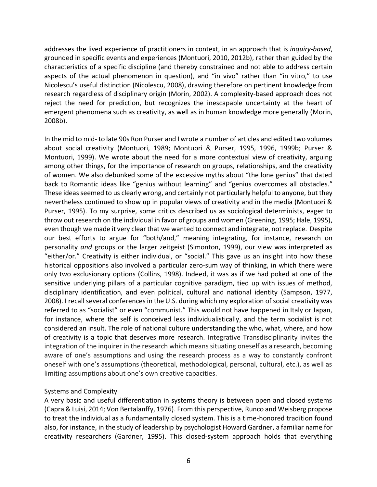addresses the lived experience of practitioners in context, in an approach that is *inquiry-based*, grounded in specific events and experiences (Montuori, 2010, 2012b), rather than guided by the characteristics of a specific discipline (and thereby constrained and not able to address certain aspects of the actual phenomenon in question), and "in vivo" rather than "in vitro," to use Nicolescu's useful distinction (Nicolescu, 2008), drawing therefore on pertinent knowledge from research regardless of disciplinary origin (Morin, 2002). A complexity-based approach does not reject the need for prediction, but recognizes the inescapable uncertainty at the heart of emergent phenomena such as creativity, as well as in human knowledge more generally (Morin, 2008b).

In the mid to mid- to late 90s Ron Purser and I wrote a number of articles and edited two volumes about social creativity (Montuori, 1989; Montuori & Purser, 1995, 1996, 1999b; Purser & Montuori, 1999). We wrote about the need for a more contextual view of creativity, arguing among other things, for the importance of research on groups, relationships, and the creativity of women. We also debunked some of the excessive myths about "the lone genius" that dated back to Romantic ideas like "genius without learning" and "genius overcomes all obstacles." These ideas seemed to us clearly wrong, and certainly not particularly helpful to anyone, but they nevertheless continued to show up in popular views of creativity and in the media (Montuori & Purser, 1995). To my surprise, some critics described us as sociological determinists, eager to throw out research on the individual in favor of groups and women (Greening, 1995; Hale, 1995), even though we made it very clear that we wanted to connect and integrate, not replace. Despite our best efforts to argue for "both/and," meaning integrating, for instance, research on personality *and* groups or the larger zeitgeist (Simonton, 1999), our view was interpreted as "either/or." Creativity is either individual, or "social." This gave us an insight into how these historical oppositions also involved a particular zero-sum way of thinking, in which there were only two exclusionary options (Collins, 1998). Indeed, it was as if we had poked at one of the sensitive underlying pillars of a particular cognitive paradigm, tied up with issues of method, disciplinary identification, and even political, cultural and national identity (Sampson, 1977, 2008). I recall several conferences in the U.S. during which my exploration of social creativity was referred to as "socialist" or even "communist." This would not have happened in Italy or Japan, for instance, where the self is conceived less individualistically, and the term socialist is not considered an insult. The role of national culture understanding the who, what, where, and how of creativity is a topic that deserves more research. Integrative Transdisciplinarity invites the integration of the inquirer in the research which means situating oneself as a research, becoming aware of one's assumptions and using the research process as a way to constantly confront oneself with one's assumptions (theoretical, methodological, personal, cultural, etc.), as well as limiting assumptions about one's own creative capacities.

# Systems and Complexity

A very basic and useful differentiation in systems theory is between open and closed systems (Capra & Luisi, 2014; Von Bertalanffy, 1976). From this perspective, Runco and Weisberg propose to treat the individual as a fundamentally closed system. This is a time-honored tradition found also, for instance, in the study of leadership by psychologist Howard Gardner, a familiar name for creativity researchers (Gardner, 1995). This closed-system approach holds that everything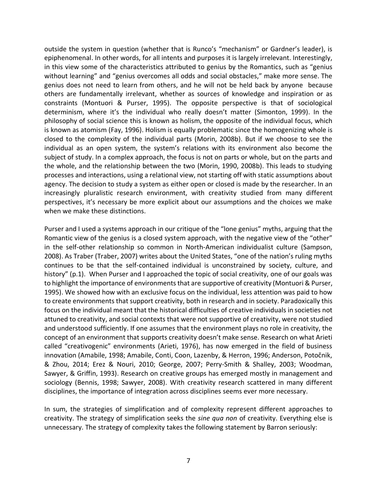outside the system in question (whether that is Runco's "mechanism" or Gardner's leader), is epiphenomenal. In other words, for all intents and purposes it is largely irrelevant. Interestingly, in this view some of the characteristics attributed to genius by the Romantics, such as "genius without learning" and "genius overcomes all odds and social obstacles," make more sense. The genius does not need to learn from others, and he will not be held back by anyone because others are fundamentally irrelevant, whether as sources of knowledge and inspiration or as constraints (Montuori & Purser, 1995). The opposite perspective is that of sociological determinism, where it's the individual who really doesn't matter (Simonton, 1999). In the philosophy of social science this is known as holism, the opposite of the individual focus, which is known as atomism (Fay, 1996). Holism is equally problematic since the homogenizing whole is closed to the complexity of the individual parts (Morin, 2008b). But if we choose to see the individual as an open system, the system's relations with its environment also become the subject of study. In a complex approach, the focus is not on parts or whole, but on the parts and the whole, and the relationship between the two (Morin, 1990, 2008b). This leads to studying processes and interactions, using a relational view, not starting off with static assumptions about agency. The decision to study a system as either open or closed is made by the researcher. In an increasingly pluralistic research environment, with creativity studied from many different perspectives, it's necessary be more explicit about our assumptions and the choices we make when we make these distinctions.

Purser and I used a systems approach in our critique of the "lone genius" myths, arguing that the Romantic view of the genius is a closed system approach, with the negative view of the "other" in the self-other relationship so common in North-American individualist culture (Sampson, 2008). As Traber (Traber, 2007) writes about the United States, "one of the nation's ruling myths continues to be that the self-contained individual is unconstrained by society, culture, and history" (p.1). When Purser and I approached the topic of social creativity, one of our goals was to highlight the importance of environments that are supportive of creativity (Montuori & Purser, 1995). We showed how with an exclusive focus on the individual, less attention was paid to how to create environments that support creativity, both in research and in society. Paradoxically this focus on the individual meant that the historical difficulties of creative individuals in societies not attuned to creativity, and social contexts that were not supportive of creativity, were not studied and understood sufficiently. If one assumes that the environment plays no role in creativity, the concept of an environment that supports creativity doesn't make sense. Research on what Arieti called "creativogenic" environments (Arieti, 1976), has now emerged in the field of business innovation (Amabile, 1998; Amabile, Conti, Coon, Lazenby, & Herron, 1996; Anderson, Potočnik, & Zhou, 2014; Erez & Nouri, 2010; George, 2007; Perry-Smith & Shalley, 2003; Woodman, Sawyer, & Griffin, 1993). Research on creative groups has emerged mostly in management and sociology (Bennis, 1998; Sawyer, 2008). With creativity research scattered in many different disciplines, the importance of integration across disciplines seems ever more necessary.

In sum, the strategies of simplification and of complexity represent different approaches to creativity. The strategy of simplification seeks the *sine qua non* of creativity. Everything else is unnecessary. The strategy of complexity takes the following statement by Barron seriously: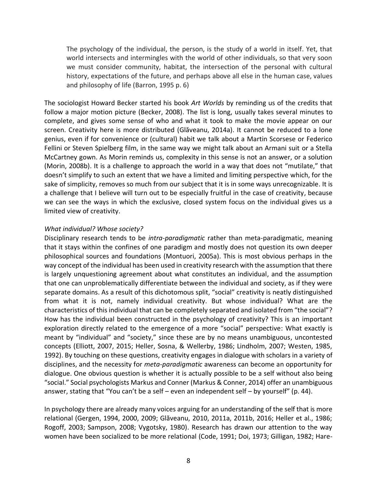The psychology of the individual, the person, is the study of a world in itself. Yet, that world intersects and intermingles with the world of other individuals, so that very soon we must consider community, habitat, the intersection of the personal with cultural history, expectations of the future, and perhaps above all else in the human case, values and philosophy of life (Barron, 1995 p. 6)

The sociologist Howard Becker started his book *Art Worlds* by reminding us of the credits that follow a major motion picture (Becker, 2008). The list is long, usually takes several minutes to complete, and gives some sense of who and what it took to make the movie appear on our screen. Creativity here is more distributed (Glăveanu, 2014a). It cannot be reduced to a lone genius, even if for convenience or (cultural) habit we talk about a Martin Scorsese or Federico Fellini or Steven Spielberg film, in the same way we might talk about an Armani suit or a Stella McCartney gown. As Morin reminds us, complexity in this sense is not an answer, or a solution (Morin, 2008b). It is a challenge to approach the world in a way that does not "mutilate," that doesn't simplify to such an extent that we have a limited and limiting perspective which, for the sake of simplicity, removes so much from our subject that it is in some ways unrecognizable. It is a challenge that I believe will turn out to be especially fruitful in the case of creativity, because we can see the ways in which the exclusive, closed system focus on the individual gives us a limited view of creativity.

#### *What individual? Whose society?*

Disciplinary research tends to be *intra-paradigmatic* rather than meta-paradigmatic, meaning that it stays within the confines of one paradigm and mostly does not question its own deeper philosophical sources and foundations (Montuori, 2005a). This is most obvious perhaps in the way concept of the individual has been used in creativity research with the assumption that there is largely unquestioning agreement about what constitutes an individual, and the assumption that one can unproblematically differentiate between the individual and society, as if they were separate domains. As a result of this dichotomous split, "social" creativity is neatly distinguished from what it is not, namely individual creativity. But whose individual? What are the characteristics of this individual that can be completely separated and isolated from "the social"? How has the individual been constructed in the psychology of creativity? This is an important exploration directly related to the emergence of a more "social" perspective: What exactly is meant by "individual" and "society," since these are by no means unambiguous, uncontested concepts (Elliott, 2007, 2015; Heller, Sosna, & Wellerby, 1986; Lindholm, 2007; Westen, 1985, 1992). By touching on these questions, creativity engages in dialogue with scholars in a variety of disciplines, and the necessity for *meta-paradigmatic* awareness can become an opportunity for dialogue. One obvious question is whether it is actually possible to be a self without also being "social." Social psychologists Markus and Conner (Markus & Conner, 2014) offer an unambiguous answer, stating that "You can't be a self – even an independent self – by yourself" (p. 44).

In psychology there are already many voices arguing for an understanding of the self that is more relational (Gergen, 1994, 2000, 2009; Glăveanu, 2010, 2011a, 2011b, 2016; Heller et al., 1986; Rogoff, 2003; Sampson, 2008; Vygotsky, 1980). Research has drawn our attention to the way women have been socialized to be more relational (Code, 1991; Doi, 1973; Gilligan, 1982; Hare-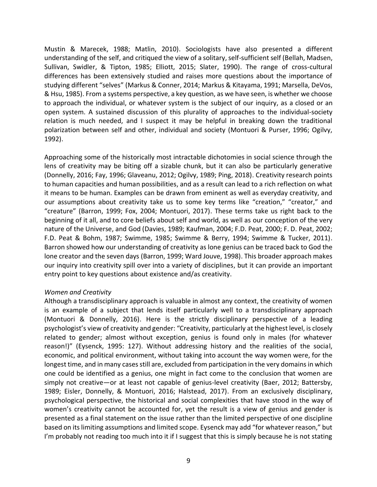Mustin & Marecek, 1988; Matlin, 2010). Sociologists have also presented a different understanding of the self, and critiqued the view of a solitary, self-sufficient self (Bellah, Madsen, Sullivan, Swidler, & Tipton, 1985; Elliott, 2015; Slater, 1990). The range of cross-cultural differences has been extensively studied and raises more questions about the importance of studying different "selves" (Markus & Conner, 2014; Markus & Kitayama, 1991; Marsella, DeVos, & Hsu, 1985). From a systems perspective, a key question, as we have seen, is whether we choose to approach the individual, or whatever system is the subject of our inquiry, as a closed or an open system. A sustained discussion of this plurality of approaches to the individual-society relation is much needed, and I suspect it may be helpful in breaking down the traditional polarization between self and other, individual and society (Montuori & Purser, 1996; Ogilvy, 1992).

Approaching some of the historically most intractable dichotomies in social science through the lens of creativity may be biting off a sizable chunk, but it can also be particularly generative (Donnelly, 2016; Fay, 1996; Glaveanu, 2012; Ogilvy, 1989; Ping, 2018). Creativity research points to human capacities and human possibilities, and as a result can lead to a rich reflection on what it means to be human. Examples can be drawn from eminent as well as everyday creativity, and our assumptions about creativity take us to some key terms like "creation," "creator," and "creature" (Barron, 1999; Fox, 2004; Montuori, 2017). These terms take us right back to the beginning of it all, and to core beliefs about self and world, as well as our conception of the very nature of the Universe, and God (Davies, 1989; Kaufman, 2004; F.D. Peat, 2000; F. D. Peat, 2002; F.D. Peat & Bohm, 1987; Swimme, 1985; Swimme & Berry, 1994; Swimme & Tucker, 2011). Barron showed how our understanding of creativity as lone genius can be traced back to God the lone creator and the seven days (Barron, 1999; Ward Jouve, 1998). This broader approach makes our inquiry into creativity spill over into a variety of disciplines, but it can provide an important entry point to key questions about existence and/as creativity.

## *Women and Creativity*

Although a transdisciplinary approach is valuable in almost any context, the creativity of women is an example of a subject that lends itself particularly well to a transdisciplinary approach (Montuori & Donnelly, 2016). Here is the strictly disciplinary perspective of a leading psychologist's view of creativity and gender: "Creativity, particularly at the highest level, is closely related to gender; almost without exception, genius is found only in males (for whatever reason!)" (Eysenck, 1995: 127). Without addressing history and the realities of the social, economic, and political environment, without taking into account the way women were, for the longest time, and in many cases still are, excluded from participation in the very domains in which one could be identified as a genius, one might in fact come to the conclusion that women are simply not creative—or at least not capable of genius-level creativity (Baer, 2012; Battersby, 1989; Eisler, Donnelly, & Montuori, 2016; Halstead, 2017). From an exclusively disciplinary, psychological perspective, the historical and social complexities that have stood in the way of women's creativity cannot be accounted for, yet the result is a view of genius and gender is presented as a final statement on the issue rather than the limited perspective of one discipline based on its limiting assumptions and limited scope. Eysenck may add "for whatever reason," but I'm probably not reading too much into it if I suggest that this is simply because he is not stating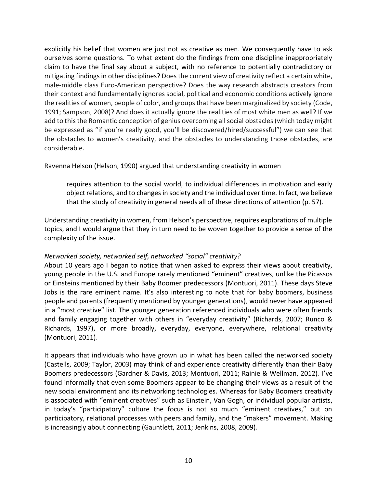explicitly his belief that women are just not as creative as men. We consequently have to ask ourselves some questions. To what extent do the findings from one discipline inappropriately claim to have the final say about a subject, with no reference to potentially contradictory or mitigating findings in other disciplines? Does the current view of creativity reflect a certain white, male-middle class Euro-American perspective? Does the way research abstracts creators from their context and fundamentally ignores social, political and economic conditions actively ignore the realities of women, people of color, and groups that have been marginalized by society (Code, 1991; Sampson, 2008)? And does it actually ignore the realities of most white men as well? If we add to this the Romantic conception of genius overcoming all social obstacles (which today might be expressed as "if you're really good, you'll be discovered/hired/successful") we can see that the obstacles to women's creativity, and the obstacles to understanding those obstacles, are considerable.

Ravenna Helson (Helson, 1990) argued that understanding creativity in women

requires attention to the social world, to individual differences in motivation and early object relations, and to changes in society and the individual over time. In fact, we believe that the study of creativity in general needs all of these directions of attention (p. 57).

Understanding creativity in women, from Helson's perspective, requires explorations of multiple topics, and I would argue that they in turn need to be woven together to provide a sense of the complexity of the issue.

# *Networked society, networked self, networked "social" creativity?*

About 10 years ago I began to notice that when asked to express their views about creativity, young people in the U.S. and Europe rarely mentioned "eminent" creatives, unlike the Picassos or Einsteins mentioned by their Baby Boomer predecessors (Montuori, 2011). These days Steve Jobs is the rare eminent name. It's also interesting to note that for baby boomers, business people and parents (frequently mentioned by younger generations), would never have appeared in a "most creative" list. The younger generation referenced individuals who were often friends and family engaging together with others in "everyday creativity" (Richards, 2007; Runco & Richards, 1997), or more broadly, everyday, everyone, everywhere, relational creativity (Montuori, 2011).

It appears that individuals who have grown up in what has been called the networked society (Castells, 2009; Taylor, 2003) may think of and experience creativity differently than their Baby Boomers predecessors (Gardner & Davis, 2013; Montuori, 2011; Rainie & Wellman, 2012). I've found informally that even some Boomers appear to be changing their views as a result of the new social environment and its networking technologies. Whereas for Baby Boomers creativity is associated with "eminent creatives" such as Einstein, Van Gogh, or individual popular artists, in today's "participatory" culture the focus is not so much "eminent creatives," but on participatory, relational processes with peers and family, and the "makers" movement. Making is increasingly about connecting (Gauntlett, 2011; Jenkins, 2008, 2009).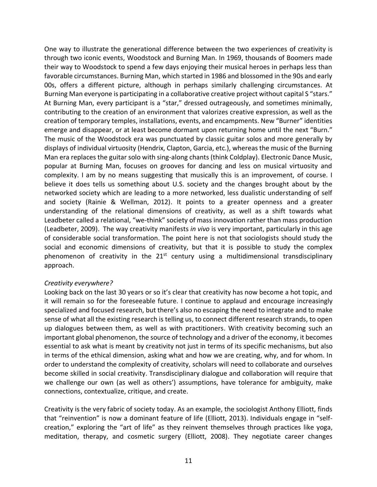One way to illustrate the generational difference between the two experiences of creativity is through two iconic events, Woodstock and Burning Man. In 1969, thousands of Boomers made their way to Woodstock to spend a few days enjoying their musical heroes in perhaps less than favorable circumstances. Burning Man, which started in 1986 and blossomed in the 90s and early 00s, offers a different picture, although in perhaps similarly challenging circumstances. At Burning Man everyone is participating in a collaborative creative project without capital S "stars." At Burning Man, every participant is a "star," dressed outrageously, and sometimes minimally, contributing to the creation of an environment that valorizes creative expression, as well as the creation of temporary temples, installations, events, and encampments. New "Burner" identities emerge and disappear, or at least become dormant upon returning home until the next "Burn." The music of the Woodstock era was punctuated by classic guitar solos and more generally by displays of individual virtuosity (Hendrix, Clapton, Garcia, etc.), whereas the music of the Burning Man era replaces the guitar solo with sing-along chants (think Coldplay). Electronic Dance Music, popular at Burning Man, focuses on grooves for dancing and less on musical virtuosity and complexity. I am by no means suggesting that musically this is an improvement, of course. I believe it does tells us something about U.S. society and the changes brought about by the networked society which are leading to a more networked, less dualistic understanding of self and society (Rainie & Wellman, 2012). It points to a greater openness and a greater understanding of the relational dimensions of creativity, as well as a shift towards what Leadbeter called a relational, "we-think" society of mass innovation rather than mass production (Leadbeter, 2009). The way creativity manifests *in vivo* is very important, particularly in this age of considerable social transformation. The point here is not that sociologists should study the social and economic dimensions of creativity, but that it is possible to study the complex phenomenon of creativity in the  $21^{st}$  century using a multidimensional transdisciplinary approach.

## *Creativity everywhere?*

Looking back on the last 30 years or so it's clear that creativity has now become a hot topic, and it will remain so for the foreseeable future. I continue to applaud and encourage increasingly specialized and focused research, but there's also no escaping the need to integrate and to make sense of what all the existing research is telling us, to connect different research strands, to open up dialogues between them, as well as with practitioners. With creativity becoming such an important global phenomenon, the source of technology and a driver of the economy, it becomes essential to ask what is meant by creativity not just in terms of its specific mechanisms, but also in terms of the ethical dimension, asking what and how we are creating, why, and for whom. In order to understand the complexity of creativity, scholars will need to collaborate and ourselves become skilled in social creativity. Transdisciplinary dialogue and collaboration will require that we challenge our own (as well as others') assumptions, have tolerance for ambiguity, make connections, contextualize, critique, and create.

Creativity is the very fabric of society today. As an example, the sociologist Anthony Elliott, finds that "reinvention" is now a dominant feature of life (Elliott, 2013). Individuals engage in "selfcreation," exploring the "art of life" as they reinvent themselves through practices like yoga, meditation, therapy, and cosmetic surgery (Elliott, 2008). They negotiate career changes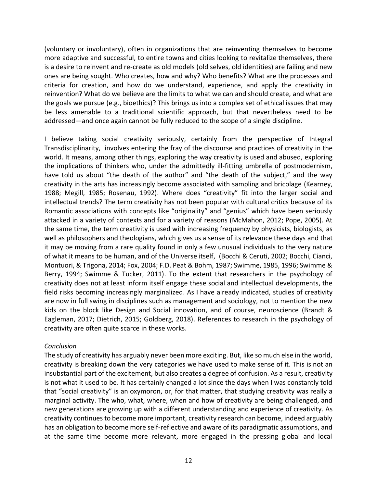(voluntary or involuntary), often in organizations that are reinventing themselves to become more adaptive and successful, to entire towns and cities looking to revitalize themselves, there is a desire to reinvent and re-create as old models (old selves, old identities) are failing and new ones are being sought. Who creates, how and why? Who benefits? What are the processes and criteria for creation, and how do we understand, experience, and apply the creativity in reinvention? What do we believe are the limits to what we can and should create, and what are the goals we pursue (e.g., bioethics)? This brings us into a complex set of ethical issues that may be less amenable to a traditional scientific approach, but that nevertheless need to be addressed—and once again cannot be fully reduced to the scope of a single discipline.

I believe taking social creativity seriously, certainly from the perspective of Integral Transdisciplinarity, involves entering the fray of the discourse and practices of creativity in the world. It means, among other things, exploring the way creativity is used and abused, exploring the implications of thinkers who, under the admittedly ill-fitting umbrella of postmodernism, have told us about "the death of the author" and "the death of the subject," and the way creativity in the arts has increasingly become associated with sampling and bricolage (Kearney, 1988; Megill, 1985; Rosenau, 1992). Where does "creativity" fit into the larger social and intellectual trends? The term creativity has not been popular with cultural critics because of its Romantic associations with concepts like "originality" and "genius" which have been seriously attacked in a variety of contexts and for a variety of reasons (McMahon, 2012; Pope, 2005). At the same time, the term creativity is used with increasing frequency by physicists, biologists, as well as philosophers and theologians, which gives us a sense of its relevance these days and that it may be moving from a rare quality found in only a few unusual individuals to the very nature of what it means to be human, and of the Universe itself, (Bocchi & Ceruti, 2002; Bocchi, Cianci, Montuori, & Trigona, 2014; Fox, 2004; F.D. Peat & Bohm, 1987; Swimme, 1985, 1996; Swimme & Berry, 1994; Swimme & Tucker, 2011). To the extent that researchers in the psychology of creativity does not at least inform itself engage these social and intellectual developments, the field risks becoming increasingly marginalized. As I have already indicated, studies of creativity are now in full swing in disciplines such as management and sociology, not to mention the new kids on the block like Design and Social innovation, and of course, neuroscience (Brandt & Eagleman, 2017; Dietrich, 2015; Goldberg, 2018). References to research in the psychology of creativity are often quite scarce in these works.

## *Conclusion*

The study of creativity has arguably never been more exciting. But, like so much else in the world, creativity is breaking down the very categories we have used to make sense of it. This is not an insubstantial part of the excitement, but also creates a degree of confusion. As a result, creativity is not what it used to be. It has certainly changed a lot since the days when I was constantly told that "social creativity" is an oxymoron, or, for that matter, that studying creativity was really a marginal activity. The who, what, where, when and how of creativity are being challenged, and new generations are growing up with a different understanding and experience of creativity. As creativity continues to become more important, creativity research can become, indeed arguably has an obligation to become more self-reflective and aware of its paradigmatic assumptions, and at the same time become more relevant, more engaged in the pressing global and local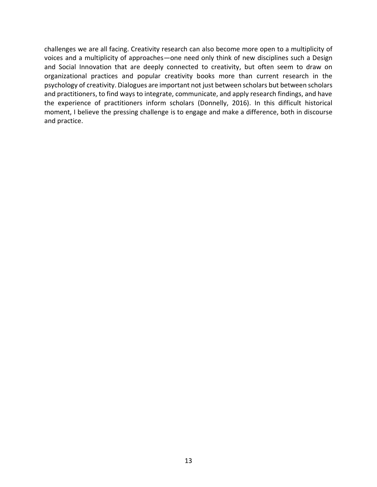challenges we are all facing. Creativity research can also become more open to a multiplicity of voices and a multiplicity of approaches—one need only think of new disciplines such a Design and Social Innovation that are deeply connected to creativity, but often seem to draw on organizational practices and popular creativity books more than current research in the psychology of creativity. Dialogues are important not just between scholars but between scholars and practitioners, to find ways to integrate, communicate, and apply research findings, and have the experience of practitioners inform scholars (Donnelly, 2016). In this difficult historical moment, I believe the pressing challenge is to engage and make a difference, both in discourse and practice.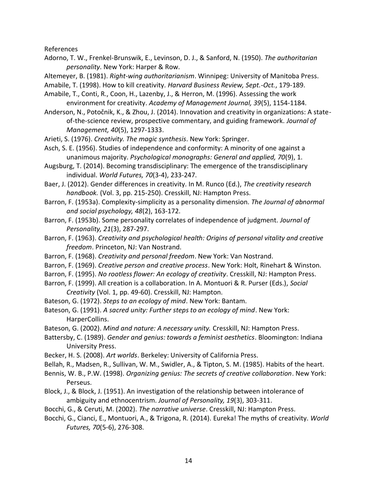References

- Adornо, Т. W., Frenkel-Brunswik, E., Levinson, D. J., & Sanford, N. (1950). *The authoritarian personality*. New York: Harper & Row.
- Altemeyer, B. (1981). *Right-wing authoritarianism*. Winnipeg: University of Manitoba Press.
- Amabile, T. (1998). How to kill creativity. *Harvard Business Review, Sept.-Oct.*, 179-189.
- Amabile, T., Conti, R., Coon, H., Lazenby, J., & Herron, M. (1996). Assessing the work environment for creativity. *Academy of Management Journal, 39*(5), 1154-1184.
- Anderson, N., Potočnik, K., & Zhou, J. (2014). Innovation and creativity in organizations: A stateof-the-science review, prospective commentary, and guiding framework. *Journal of Management, 40*(5), 1297-1333.
- Arieti, S. (1976). *Creativity. The magic synthesis*. New York: Springer.
- Asch, S. E. (1956). Studies of independence and conformity: A minority of one against a unanimous majority. *Psychological monographs: General and applied, 70*(9), 1.
- Augsburg, T. (2014). Becoming transdisciplinary: The emergence of the transdisciplinary individual. *World Futures, 70*(3-4), 233-247.
- Baer, J. (2012). Gender differences in creativity. In M. Runco (Ed.), *The creativity research handbook.* (Vol. 3, pp. 215-250). Cresskill, NJ: Hampton Press.
- Barron, F. (1953a). Complexity-simplicity as a personality dimension. *The Journal of abnormal and social psychology, 48*(2), 163-172.
- Barron, F. (1953b). Some personality correlates of independence of judgment. *Journal of Personality, 21*(3), 287-297.
- Barron, F. (1963). *Creativity and psychological health: Origins of personal vitality and creative freedom*. Princeton, NJ: Van Nostrand.
- Barron, F. (1968). *Creativity and personal freedom*. New York: Van Nostrand.
- Barron, F. (1969). *Creative person and creative process*. New York: Holt, Rinehart & Winston.
- Barron, F. (1995). *No rootless flower: An ecology of creativity*. Cresskill, NJ: Hampton Press.
- Barron, F. (1999). All creation is a collaboration. In A. Montuori & R. Purser (Eds.), *Social Creativity* (Vol. 1, pp. 49-60). Cresskill, NJ: Hampton.
- Bateson, G. (1972). *Steps to an ecology of mind*. New York: Bantam.
- Bateson, G. (1991). *A sacred unity: Further steps to an ecology of mind*. New York: HarperCollins.
- Bateson, G. (2002). *Mind and nature: A necessary unity.* Cresskill, NJ: Hampton Press.
- Battersby, C. (1989). *Gender and genius: towards a feminist aesthetics*. Bloomington: Indiana University Press.
- Becker, H. S. (2008). *Art worlds*. Berkeley: University of California Press.
- Bellah, R., Madsen, R., Sullivan, W. M., Swidler, A., & Tipton, S. M. (1985). Habits of the heart.
- Bennis, W. B., P.W. (1998). *Organizing genius: The secrets of creative collaboration*. New York: Perseus.
- Block, J., & Block, J. (1951). An investigation of the relationship between intolerance of ambiguity and ethnocentrism. *Journal of Personality, 19*(3), 303-311.
- Bocchi, G., & Ceruti, M. (2002). *The narrative universe*. Cresskill, NJ: Hampton Press.
- Bocchi, G., Cianci, E., Montuori, A., & Trigona, R. (2014). Eureka! The myths of creativity. *World Futures, 70*(5-6), 276-308.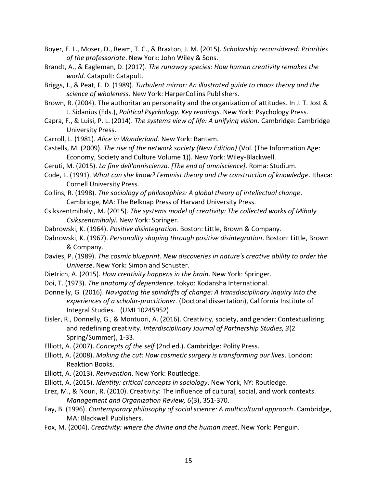- Boyer, E. L., Moser, D., Ream, T. C., & Braxton, J. M. (2015). *Scholarship reconsidered: Priorities of the professoriate*. New York: John Wiley & Sons.
- Brandt, A., & Eagleman, D. (2017). *The runaway species: How human creativity remakes the world*. Catapult: Catapult.
- Briggs, J., & Peat, F. D. (1989). *Turbulent mirror: An illustrated guide to chaos theory and the science of wholeness*. New York: HarperCollins Publishers.
- Brown, R. (2004). The authoritarian personality and the organization of attitudes. In J. T. Jost & J. Sidanius (Eds.), *Political Psychology. Key readings.* New York: Psychology Press.
- Capra, F., & Luisi, P. L. (2014). *The systems view of life: A unifying vision*. Cambridge: Cambridge University Press.
- Carroll, L. (1981). *Alice in Wonderland*. New York: Bantam.
- Castells, M. (2009). *The rise of the network society (New Edition)* (Vol. (The Information Age: Economy, Society and Culture Volume 1)). New York: Wiley-Blackwell.
- Ceruti, M. (2015). *La fine dell'onniscienza. [The end of omniscience]*. Roma: Studium.
- Code, L. (1991). *What can she know? Feminist theory and the construction of knowledge*. Ithaca: Cornell University Press.
- Collins, R. (1998). *The sociology of philosophies: A global theory of intellectual change*. Cambridge, MA: The Belknap Press of Harvard University Press.
- Csikszentmihalyi, M. (2015). *The systems model of creativity: The collected works of Mihaly Csikszentmihalyi*. New York: Springer.
- Dabrowski, K. (1964). *Positive disintegration*. Boston: Little, Brown & Company.
- Dabrowski, K. (1967). *Personality shaping through positive disintegration*. Boston: Little, Brown & Company.
- Davies, P. (1989). *The cosmic blueprint. New discoveries in nature's creative ability to order the Universe*. New York: Simon and Schuster.
- Dietrich, A. (2015). *How creativity happens in the brain*. New York: Springer.
- Doi, T. (1973). *The anatomy of dependence*. tokyo: Kodansha International.
- Donnelly, G. (2016). *Navigating the spindrifts of change: A transdisciplinary inquiry into the experiences of a scholar-practitioner.* (Doctoral dissertation), California Institute of Integral Studies. (UMI 10245952)
- Eisler, R., Donnelly, G., & Montuori, A. (2016). Creativity, society, and gender: Contextualizing and redefining creativity. *Interdisciplinary Journal of Partnership Studies, 3*(2 Spring/Summer), 1-33.
- Elliott, A. (2007). *Concepts of the self* (2nd ed.). Cambridge: Polity Press.
- Elliott, A. (2008). *Making the cut: How cosmetic surgery is transforming our lives*. London: Reaktion Books.
- Elliott, A. (2013). *Reinvention*. New York: Routledge.
- Elliott, A. (2015). *Identity: critical concepts in sociology*. New York, NY: Routledge.
- Erez, M., & Nouri, R. (2010). Creativity: The influence of cultural, social, and work contexts. *Management and Organization Review, 6*(3), 351-370.
- Fay, B. (1996). *Contemporary philosophy of social science: A multicultural approach*. Cambridge, MA: Blackwell Publishers.
- Fox, M. (2004). *Creativity: where the divine and the human meet*. New York: Penguin.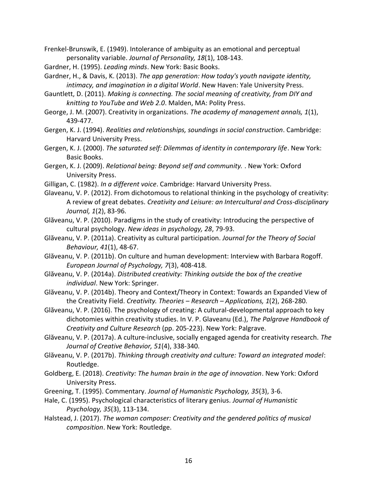Frenkel‐Brunswik, E. (1949). Intolerance of ambiguity as an emotional and perceptual personality variable. *Journal of Personality, 18*(1), 108-143.

Gardner, H. (1995). *Leading minds*. New York: Basic Books.

Gardner, H., & Davis, K. (2013). *The app generation: How today's youth navigate identity, intimacy, and imagination in a digital World*. New Haven: Yale University Press.

- Gauntlett, D. (2011). *Making is connecting. The social meaning of creativity, from DIY and knitting to YouTube and Web 2.0*. Malden, MA: Polity Press.
- George, J. M. (2007). Creativity in organizations. *The academy of management annals, 1*(1), 439-477.
- Gergen, K. J. (1994). *Realities and relationships, soundings in social construction*. Cambridge: Harvard University Press.
- Gergen, K. J. (2000). *The saturated self: Dilemmas of identity in contemporary life*. New York: Basic Books.
- Gergen, K. J. (2009). *Relational being: Beyond self and community.* . New York: Oxford University Press.
- Gilligan, C. (1982). *In a different voice*. Cambridge: Harvard University Press.
- Glaveanu, V. P. (2012). From dichotomous to relational thinking in the psychology of creativity: A review of great debates. *Creativity and Leisure: an Intercultural and Cross-disciplinary Journal, 1*(2), 83-96.
- Glăveanu, V. P. (2010). Paradigms in the study of creativity: Introducing the perspective of cultural psychology. *New ideas in psychology, 28*, 79-93.
- Glăveanu, V. P. (2011a). Creativity as cultural participation. *Journal for the Theory of Social Behaviour, 41*(1), 48-67.
- Glăveanu, V. P. (2011b). On culture and human development: Interview with Barbara Rogoff. *European Journal of Psychology, 7*(3), 408-418.
- Glăveanu, V. P. (2014a). *Distributed creativity: Thinking outside the box of the creative individual*. New York: Springer.
- Glăveanu, V. P. (2014b). Theory and Context/Theory in Context: Towards an Expanded View of the Creativity Field. *Creativity. Theories – Research – Applications, 1*(2), 268-280.
- Glăveanu, V. P. (2016). The psychology of creating: A cultural-developmental approach to key dichotomies within creativity studies. In V. P. Glaveanu (Ed.), *The Palgrave Handbook of Creativity and Culture Research* (pp. 205-223). New York: Palgrave.
- Glăveanu, V. P. (2017a). A culture‐inclusive, socially engaged agenda for creativity research. *The Journal of Creative Behavior, 51*(4), 338-340.
- Glăveanu, V. P. (2017b). *Thinking through creativity and culture: Toward an integrated model*: Routledge.
- Goldberg, E. (2018). *Creativity: The human brain in the age of innovation*. New York: Oxford University Press.
- Greening, T. (1995). Commentary. *Journal of Humanistic Psychology, 35*(3), 3-6.
- Hale, C. (1995). Psychological characteristics of literary genius. *Journal of Humanistic Psychology, 35*(3), 113-134.
- Halstead, J. (2017). *The woman composer: Creativity and the gendered politics of musical composition*. New York: Routledge.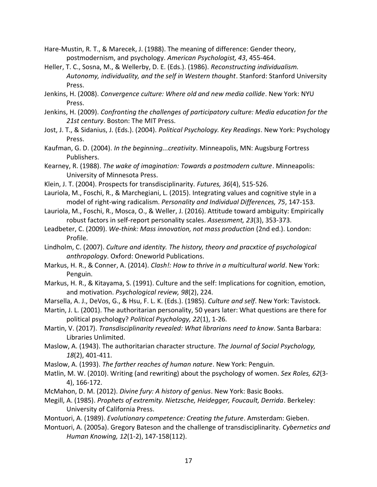Hare-Mustin, R. T., & Marecek, J. (1988). The meaning of difference: Gender theory, postmodernism, and psychology. *American Psychologist, 43*, 455-464.

- Heller, T. C., Sosna, M., & Wellerby, D. E. (Eds.). (1986). *Reconstructing individualism. Autonomy, individuality, and the self in Western thought*. Stanford: Stanford University Press.
- Jenkins, H. (2008). *Convergence culture: Where old and new media collide*. New York: NYU Press.
- Jenkins, H. (2009). *Confronting the challenges of participatory culture: Media education for the 21st century*. Boston: The MIT Press.
- Jost, J. T., & Sidanius, J. (Eds.). (2004). *Political Psychology. Key Readings*. New York: Psychology Press.
- Kaufman, G. D. (2004). *In the beginning...creativity*. Minneapolis, MN: Augsburg Fortress Publishers.
- Kearney, R. (1988). *The wake of imagination: Towards a postmodern culture*. Minneapolis: University of Minnesota Press.
- Klein, J. T. (2004). Prospects for transdisciplinarity. *Futures, 36*(4), 515-526.
- Lauriola, M., Foschi, R., & Marchegiani, L. (2015). Integrating values and cognitive style in a model of right-wing radicalism. *Personality and Individual Differences, 75*, 147-153.
- Lauriola, M., Foschi, R., Mosca, O., & Weller, J. (2016). Attitude toward ambiguity: Empirically robust factors in self-report personality scales. *Assessment, 23*(3), 353-373.
- Leadbeter, C. (2009). *We-think: Mass innovation, not mass production* (2nd ed.). London: Profile.
- Lindholm, C. (2007). *Culture and identity. The history, theory and pracxtice of psychological anthropology*. Oxford: Oneworld Publications.
- Markus, H. R., & Conner, A. (2014). *Clash!: How to thrive in a multicultural world*. New York: Penguin.
- Markus, H. R., & Kitayama, S. (1991). Culture and the self: Implications for cognition, emotion, and motivation. *Psychological review, 98*(2), 224.

Marsella, A. J., DeVos, G., & Hsu, F. L. K. (Eds.). (1985). *Culture and self*. New York: Tavistock.

Martin, J. L. (2001). The authoritarian personality, 50 years later: What questions are there for political psychology? *Political Psychology, 22*(1), 1-26.

Martin, V. (2017). *Transdisciplinarity revealed: What librarians need to know*. Santa Barbara: Libraries Unlimited.

- Maslow, A. (1943). The authoritarian character structure. *The Journal of Social Psychology, 18*(2), 401-411.
- Maslow, A. (1993). *The farther reaches of human nature*. New York: Penguin.
- Matlin, M. W. (2010). Writing (and rewriting) about the psychology of women. *Sex Roles, 62*(3- 4), 166-172.
- McMahon, D. M. (2012). *Divine fury: A history of genius*. New York: Basic Books.
- Megill, A. (1985). *Prophets of extremity. Nietzsche, Heidegger, Foucault, Derrida*. Berkeley: University of California Press.
- Montuori, A. (1989). *Evolutionary competence: Creating the future*. Amsterdam: Gieben.
- Montuori, A. (2005a). Gregory Bateson and the challenge of transdisciplinarity. *Cybernetics and Human Knowing, 12*(1-2), 147-158(112).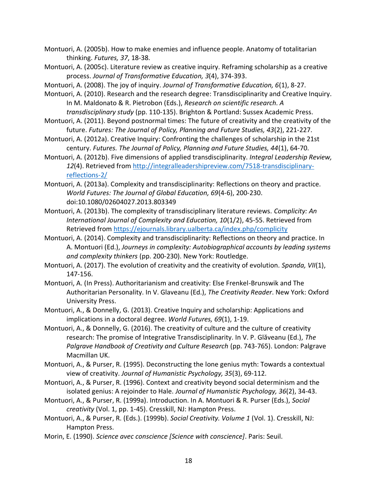Montuori, A. (2005b). How to make enemies and influence people. Anatomy of totalitarian thinking. *Futures, 37*, 18-38.

Montuori, A. (2005c). Literature review as creative inquiry. Reframing scholarship as a creative process. *Journal of Transformative Education, 3*(4), 374-393.

Montuori, A. (2008). The joy of inquiry. *Journal of Transformative Education, 6*(1), 8-27.

Montuori, A. (2010). Research and the research degree: Transdisciplinarity and Creative Inquiry. In M. Maldonato & R. Pietrobon (Eds.), *Research on scientific research. A transdisciplinary study* (pp. 110-135). Brighton & Portland: Sussex Academic Press.

- Montuori, A. (2011). Beyond postnormal times: The future of creativity and the creativity of the future. *Futures: The Journal of Policy, Planning and Future Studies, 43*(2), 221-227.
- Montuori, A. (2012a). Creative Inquiry: Confronting the challenges of scholarship in the 21st century. *Futures. The Journal of Policy, Planning and Future Studies, 44*(1), 64-70.
- Montuori, A. (2012b). Five dimensions of applied transdisciplinarity. *Integral Leadership Review, 12*(4). Retrieved fro[m http://integralleadershipreview.com/7518-transdisciplinary](http://integralleadershipreview.com/7518-transdisciplinary-reflections-2/)[reflections-2/](http://integralleadershipreview.com/7518-transdisciplinary-reflections-2/)
- Montuori, A. (2013a). Complexity and transdisciplinarity: Reflections on theory and practice. *World Futures: The Journal of Global Education, 69*(4-6), 200-230. doi:10.1080/02604027.2013.803349
- Montuori, A. (2013b). The complexity of transdisciplinary literature reviews. *Complicity: An International Journal of Complexity and Education, 10*(1/2), 45-55. Retrieved from Retrieved from<https://ejournals.library.ualberta.ca/index.php/complicity>
- Montuori, A. (2014). Complexity and transdisciplinarity: Reflections on theory and practice. In A. Montuori (Ed.), *Journeys in complexity: Autobiographical accounts by leading systems and complexity thinkers* (pp. 200-230). New York: Routledge.
- Montuori, A. (2017). The evolution of creativity and the creativity of evolution. *Spanda, VII*(1), 147-156.
- Montuori, A. (In Press). Authoritarianism and creativity: Else Frenkel-Brunswik and The Authoritarian Personality. In V. Glaveanu (Ed.), *The Creativity Reader*. New York: Oxford University Press.
- Montuori, A., & Donnelly, G. (2013). Creative Inquiry and scholarship: Applications and implications in a doctoral degree. *World Futures, 69*(1), 1-19.
- Montuori, A., & Donnelly, G. (2016). The creativity of culture and the culture of creativity research: The promise of Integrative Transdisciplinarity. In V. P. Glăveanu (Ed.), *The Palgrave Handbook of Creativity and Culture Research* (pp. 743-765). London: Palgrave Macmillan UK.
- Montuori, A., & Purser, R. (1995). Deconstructing the lone genius myth: Towards a contextual view of creativity. *Journal of Humanistic Psychology, 35*(3), 69-112.
- Montuori, A., & Purser, R. (1996). Context and creativity beyond social determinism and the isolated genius: A rejoinder to Hale. *Journal of Humanistic Psychology, 36*(2), 34-43.
- Montuori, A., & Purser, R. (1999a). Introduction. In A. Montuori & R. Purser (Eds.), *Social creativity* (Vol. 1, pp. 1-45). Cresskill, NJ: Hampton Press.
- Montuori, A., & Purser, R. (Eds.). (1999b). *Social Creativity. Volume 1* (Vol. 1). Cresskill, NJ: Hampton Press.
- Morin, E. (1990). *Science avec conscience [Science with conscience]*. Paris: Seuil.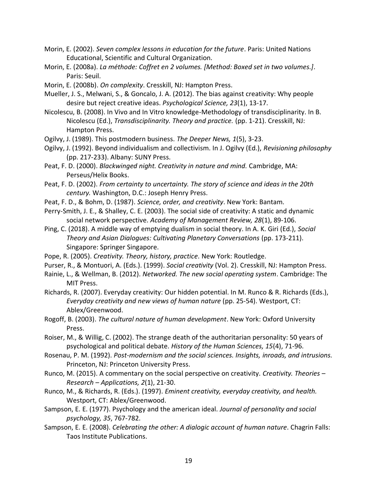- Morin, E. (2002). *Seven complex lessons in education for the future*. Paris: United Nations Educational, Scientific and Cultural Organization.
- Morin, E. (2008a). *La méthode: Coffret en 2 volumes. [Method: Boxed set in two volumes.]*. Paris: Seuil.
- Morin, E. (2008b). *On complexity*. Cresskill, NJ: Hampton Press.
- Mueller, J. S., Melwani, S., & Goncalo, J. A. (2012). The bias against creativity: Why people desire but reject creative ideas. *Psychological Science, 23*(1), 13-17.
- Nicolescu, B. (2008). In Vivo and In Vitro knowledge-Methodology of transdisciplinarity. In B. Nicolescu (Ed.), *Transdisciplinarity. Theory and practice.* (pp. 1-21). Cresskill, NJ: Hampton Press.
- Ogilvy, J. (1989). This postmodern business. *The Deeper News, 1*(5), 3-23.
- Ogilvy, J. (1992). Beyond individualism and collectivism. In J. Ogilvy (Ed.), *Revisioning philosophy* (pp. 217-233). Albany: SUNY Press.
- Peat, F. D. (2000). *Blackwinged night. Creativity in nature and mind.* Cambridge, MA: Perseus/Helix Books.
- Peat, F. D. (2002). *From certainty to uncertainty. The story of science and ideas in the 20th century.* Washington, D.C.: Joseph Henry Press.
- Peat, F. D., & Bohm, D. (1987). *Science, order, and creativity*. New York: Bantam.
- Perry-Smith, J. E., & Shalley, C. E. (2003). The social side of creativity: A static and dynamic social network perspective. *Academy of Management Review, 28*(1), 89-106.
- Ping, C. (2018). A middle way of emptying dualism in social theory. In A. K. Giri (Ed.), *Social Theory and Asian Dialogues: Cultivating Planetary Conversations* (pp. 173-211). Singapore: Springer Singapore.
- Pope, R. (2005). *Creativity. Theory, history, practice*. New York: Routledge.
- Purser, R., & Montuori, A. (Eds.). (1999). *Social creativity* (Vol. 2). Cresskill, NJ: Hampton Press.
- Rainie, L., & Wellman, B. (2012). *Networked. The new social operating system*. Cambridge: The MIT Press.
- Richards, R. (2007). Everyday creativity: Our hidden potential. In M. Runco & R. Richards (Eds.), *Everyday creativity and new views of human nature* (pp. 25-54). Westport, CT: Ablex/Greenwood.
- Rogoff, B. (2003). *The cultural nature of human development*. New York: Oxford University Press.
- Roiser, M., & Willig, C. (2002). The strange death of the authoritarian personality: 50 years of psychological and political debate. *History of the Human Sciences, 15*(4), 71-96.
- Rosenau, P. M. (1992). *Post-modernism and the social sciences. Insights, inroads, and intrusions.* Princeton, NJ: Princeton University Press.
- Runco, M. (2015). A commentary on the social perspective on creativity. *Creativity. Theories – Research – Applications, 2*(1), 21-30.
- Runco, M., & Richards, R. (Eds.). (1997). *Eminent creativity, everyday creativity, and health.* Westport, CT: Ablex/Greenwood.
- Sampson, E. E. (1977). Psychology and the american ideal. *Journal of personality and social psychology, 35*, 767-782.
- Sampson, E. E. (2008). *Celebrating the other: A dialogic account of human nature*. Chagrin Falls: Taos Institute Publications.